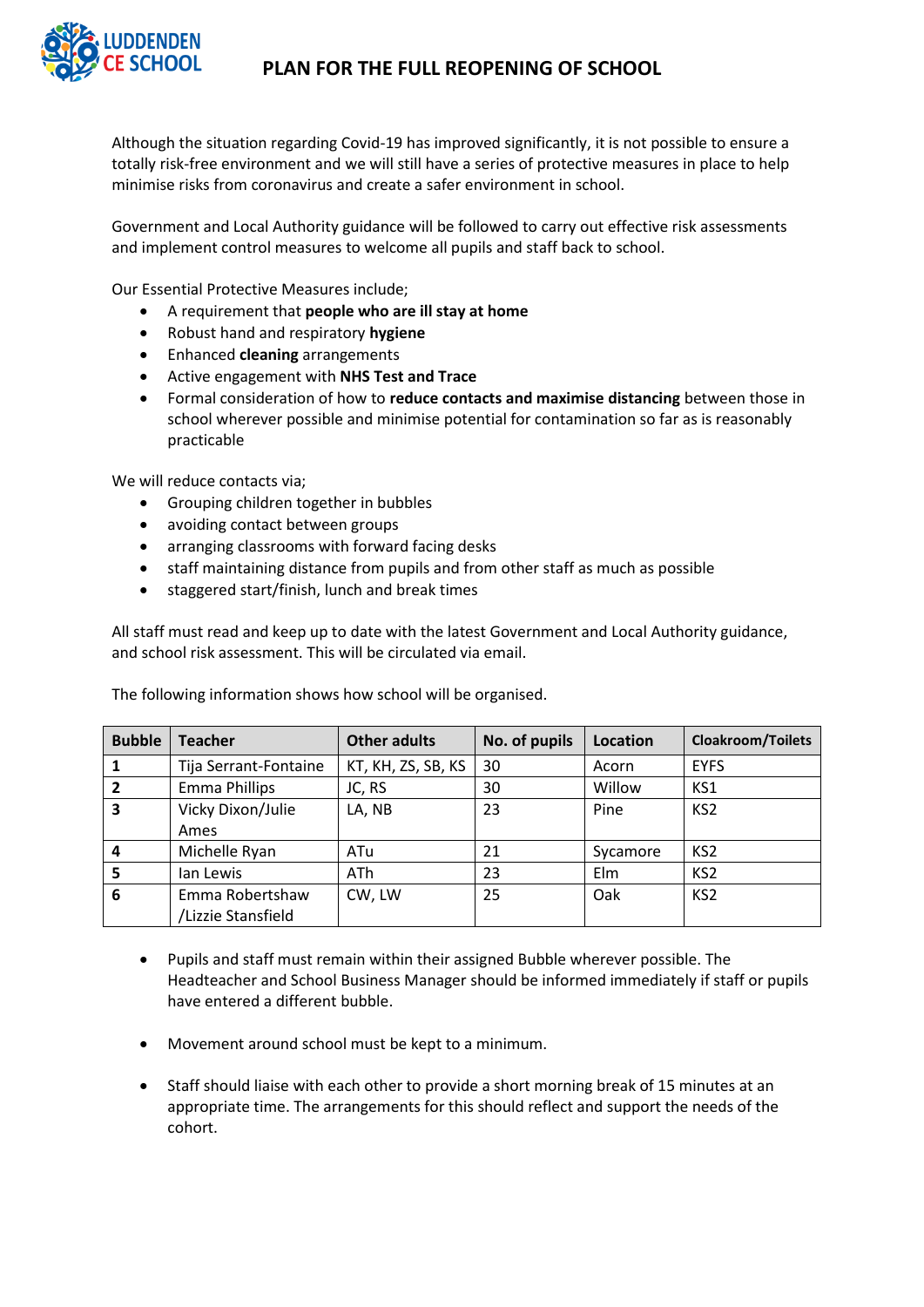

Although the situation regarding Covid-19 has improved significantly, it is not possible to ensure a totally risk-free environment and we will still have a series of protective measures in place to help minimise risks from coronavirus and create a safer environment in school.

Government and Local Authority guidance will be followed to carry out effective risk assessments and implement control measures to welcome all pupils and staff back to school.

Our Essential Protective Measures include;

- A requirement that **people who are ill stay at home**
- Robust hand and respiratory **hygiene**
- Enhanced **cleaning** arrangements
- Active engagement with **NHS Test and Trace**
- Formal consideration of how to **reduce contacts and maximise distancing** between those in school wherever possible and minimise potential for contamination so far as is reasonably practicable

We will reduce contacts via;

- Grouping children together in bubbles
- avoiding contact between groups
- arranging classrooms with forward facing desks
- staff maintaining distance from pupils and from other staff as much as possible
- staggered start/finish, lunch and break times

All staff must read and keep up to date with the latest Government and Local Authority guidance, and school risk assessment. This will be circulated via email.

| <b>Bubble</b>  | <b>Teacher</b>        | <b>Other adults</b> | No. of pupils | Location | <b>Cloakroom/Toilets</b> |
|----------------|-----------------------|---------------------|---------------|----------|--------------------------|
|                | Tija Serrant-Fontaine | KT, KH, ZS, SB, KS  | 30            | Acorn    | <b>EYFS</b>              |
| 2              | <b>Emma Phillips</b>  | JC, RS              | 30            | Willow   | KS1                      |
| 3              | Vicky Dixon/Julie     | LA, NB              | 23            | Pine     | KS <sub>2</sub>          |
|                | Ames                  |                     |               |          |                          |
| $\overline{a}$ | Michelle Ryan         | ATu                 | 21            | Sycamore | KS <sub>2</sub>          |
| 5              | lan Lewis             | ATh                 | 23            | Elm      | KS <sub>2</sub>          |
| 6              | Emma Robertshaw       | CW, LW              | 25            | Oak      | KS <sub>2</sub>          |
|                | /Lizzie Stansfield    |                     |               |          |                          |

The following information shows how school will be organised.

- Pupils and staff must remain within their assigned Bubble wherever possible. The Headteacher and School Business Manager should be informed immediately if staff or pupils have entered a different bubble.
- Movement around school must be kept to a minimum.
- Staff should liaise with each other to provide a short morning break of 15 minutes at an appropriate time. The arrangements for this should reflect and support the needs of the cohort.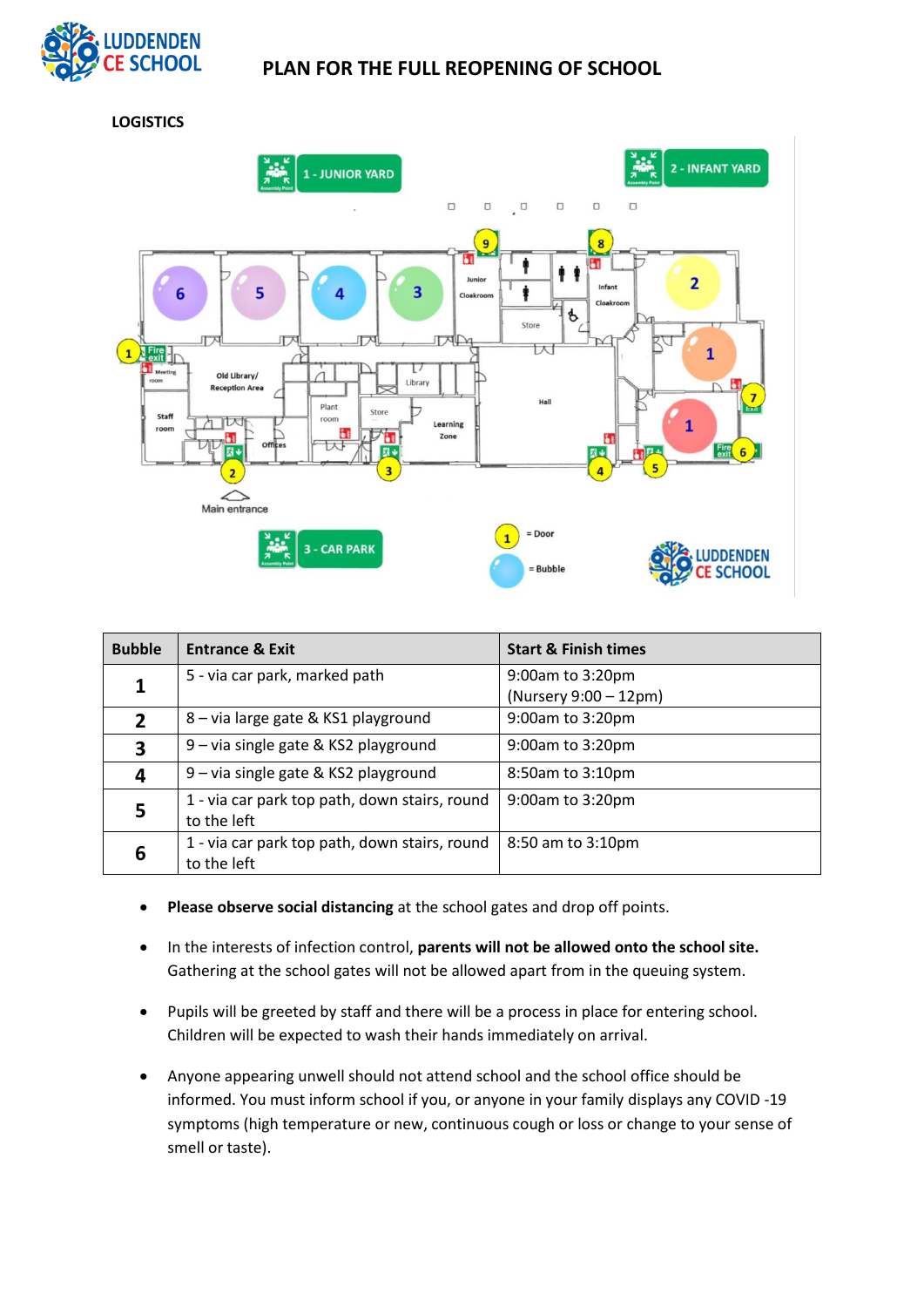

**LOGISTICS**



| <b>Bubble</b>  | <b>Entrance &amp; Exit</b>                                   | <b>Start &amp; Finish times</b>           |
|----------------|--------------------------------------------------------------|-------------------------------------------|
| 1              | 5 - via car park, marked path                                | 9:00am to 3:20pm<br>(Nursery 9:00 - 12pm) |
| $\overline{2}$ | 8 - via large gate & KS1 playground                          | 9:00am to 3:20pm                          |
| $\mathbf{3}$   | 9 – via single gate & KS2 playground                         | 9:00am to 3:20pm                          |
| 4              | 9 – via single gate & KS2 playground                         | 8:50am to 3:10pm                          |
| 5              | 1 - via car park top path, down stairs, round<br>to the left | 9:00am to 3:20pm                          |
| 6              | 1 - via car park top path, down stairs, round<br>to the left | 8:50 am to 3:10pm                         |

- **Please observe social distancing** at the school gates and drop off points.
- In the interests of infection control, **parents will not be allowed onto the school site.** Gathering at the school gates will not be allowed apart from in the queuing system.
- Pupils will be greeted by staff and there will be a process in place for entering school. Children will be expected to wash their hands immediately on arrival.
- Anyone appearing unwell should not attend school and the school office should be informed. You must inform school if you, or anyone in your family displays any COVID -19 symptoms (high temperature or new, continuous cough or loss or change to your sense of smell or taste).